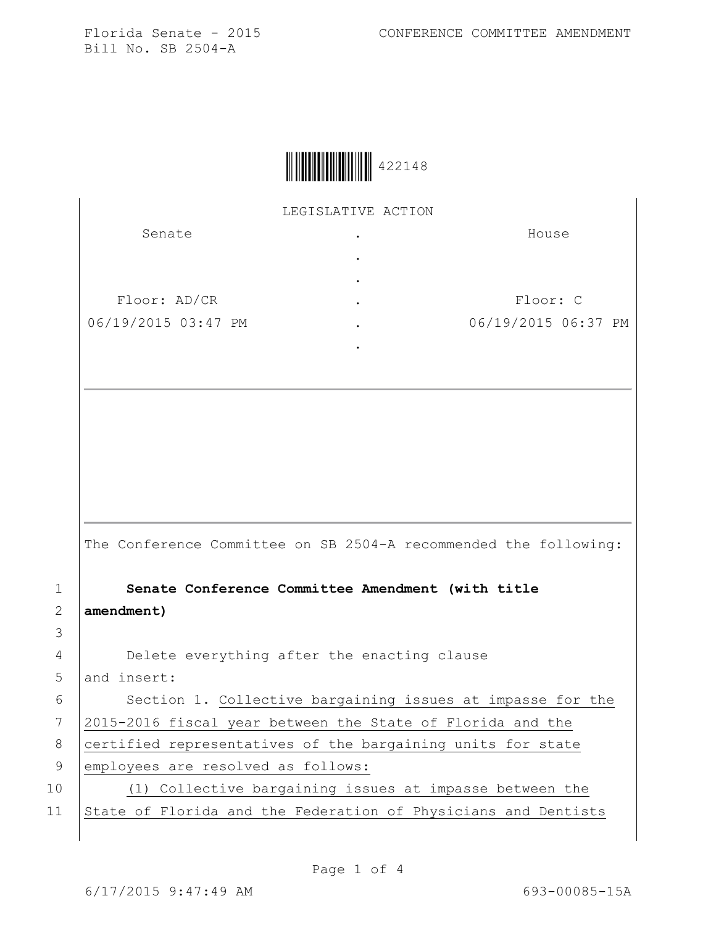Florida Senate - 2015 CONFERENCE COMMITTEE AMENDMENT

Bill No. SB 2504-A

|  | 422148 |
|--|--------|
|--|--------|

LEGISLATIVE ACTION

| Senate              | $\bullet$ | House               |
|---------------------|-----------|---------------------|
|                     | ٠         |                     |
|                     | $\bullet$ |                     |
| Floor: AD/CR        | $\bullet$ | Floor: C            |
| 06/19/2015 03:47 PM | $\bullet$ | 06/19/2015 06:37 PM |
|                     |           |                     |

The Conference Committee on SB 2504-A recommended the following:

1 **Senate Conference Committee Amendment (with title**  2 **amendment)**

4 Delete everything after the enacting clause

5 and insert:

6 | Section 1. Collective bargaining issues at impasse for the 7 2015-2016 fiscal year between the State of Florida and the 8 certified representatives of the bargaining units for state 9 employees are resolved as follows: 10 (1) Collective bargaining issues at impasse between the

11 State of Florida and the Federation of Physicians and Dentists

3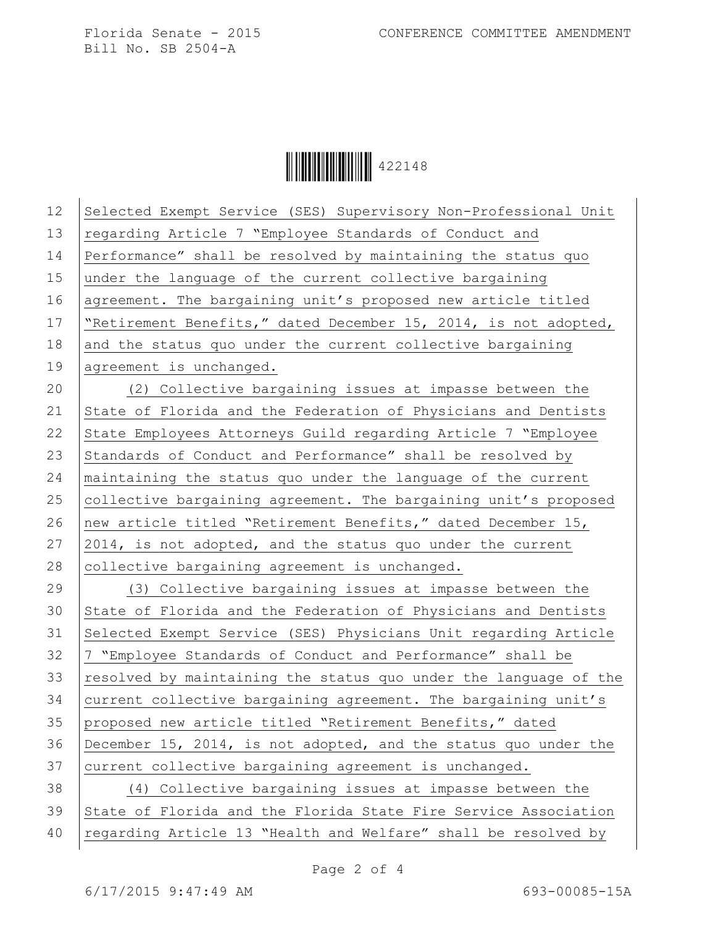Bill No. SB 2504-A

**ÖHELLE 122148** 

12 Selected Exempt Service (SES) Supervisory Non-Professional Unit 13 regarding Article 7 "Employee Standards of Conduct and 14 Performance" shall be resolved by maintaining the status quo 15 under the language of the current collective bargaining 16 agreement. The bargaining unit's proposed new article titled 17 | "Retirement Benefits," dated December 15, 2014, is not adopted, 18 and the status quo under the current collective bargaining 19 agreement is unchanged. 20 (2) Collective bargaining issues at impasse between the 21 State of Florida and the Federation of Physicians and Dentists 22 State Employees Attorneys Guild regarding Article 7 "Employee" 23 Standards of Conduct and Performance" shall be resolved by 24 maintaining the status quo under the language of the current 25 collective bargaining agreement. The bargaining unit's proposed 26 new article titled "Retirement Benefits," dated December 15, 27 2014, is not adopted, and the status quo under the current 28  $|$  collective bargaining agreement is unchanged. 29 (3) Collective bargaining issues at impasse between the 30 State of Florida and the Federation of Physicians and Dentists 31 Selected Exempt Service (SES) Physicians Unit regarding Article 32 7 "Employee Standards of Conduct and Performance" shall be 33  $resolved by maintaining the status quo under the language of the$ 34 current collective bargaining agreement. The bargaining unit's 35 proposed new article titled "Retirement Benefits," dated 36 December 15, 2014, is not adopted, and the status quo under the 37 current collective bargaining agreement is unchanged. 38 (4) Collective bargaining issues at impasse between the 39 State of Florida and the Florida State Fire Service Association 40 regarding Article 13 "Health and Welfare" shall be resolved by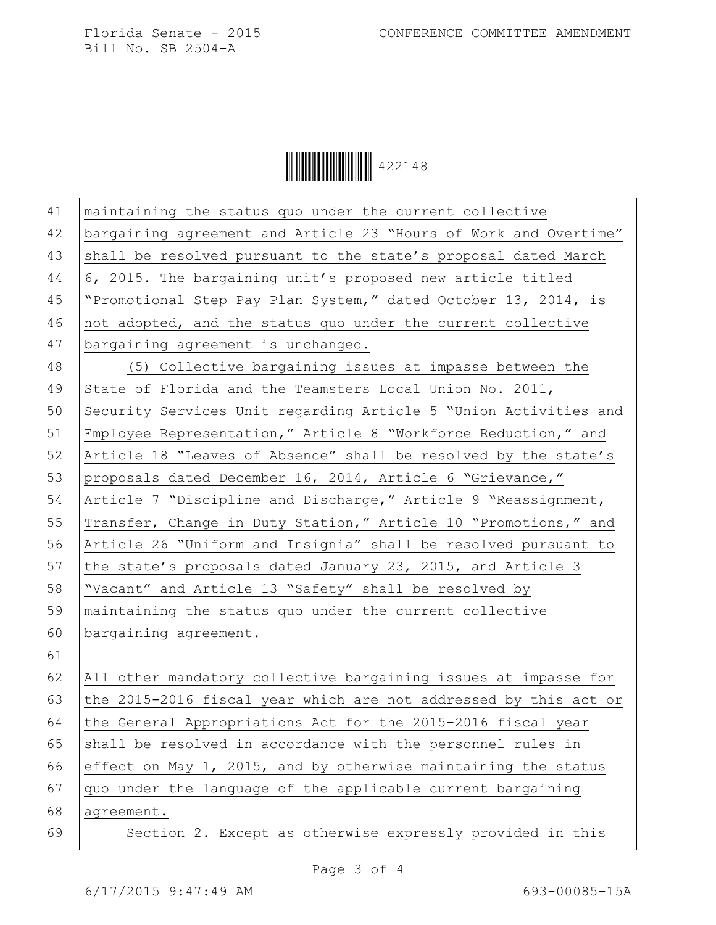Bill No. SB 2504-A

Ì422148+Î422148

| 41 | maintaining the status quo under the current collective          |
|----|------------------------------------------------------------------|
| 42 | bargaining agreement and Article 23 "Hours of Work and Overtime" |
| 43 | shall be resolved pursuant to the state's proposal dated March   |
| 44 | 6, 2015. The bargaining unit's proposed new article titled       |
| 45 | "Promotional Step Pay Plan System," dated October 13, 2014, is   |
| 46 | not adopted, and the status quo under the current collective     |
| 47 | bargaining agreement is unchanged.                               |
| 48 | (5) Collective bargaining issues at impasse between the          |
| 49 | State of Florida and the Teamsters Local Union No. 2011,         |
| 50 | Security Services Unit regarding Article 5 "Union Activities and |
| 51 | Employee Representation," Article 8 "Workforce Reduction," and   |
| 52 | Article 18 "Leaves of Absence" shall be resolved by the state's  |
| 53 | proposals dated December 16, 2014, Article 6 "Grievance,"        |
| 54 | Article 7 "Discipline and Discharge," Article 9 "Reassignment,   |
| 55 | Transfer, Change in Duty Station," Article 10 "Promotions," and  |
| 56 | Article 26 "Uniform and Insignia" shall be resolved pursuant to  |
| 57 | the state's proposals dated January 23, 2015, and Article 3      |
| 58 | "Vacant" and Article 13 "Safety" shall be resolved by            |
| 59 | maintaining the status quo under the current collective          |
| 60 | bargaining agreement.                                            |
| 61 |                                                                  |
| 62 | All other mandatory collective bargaining issues at impasse for  |
| 63 | the 2015-2016 fiscal year which are not addressed by this act or |
| 64 | the General Appropriations Act for the 2015-2016 fiscal year     |
| 65 | shall be resolved in accordance with the personnel rules in      |
| 66 | effect on May 1, 2015, and by otherwise maintaining the status   |
| 67 | quo under the language of the applicable current bargaining      |
| 68 | agreement.                                                       |
| 69 | Section 2. Except as otherwise expressly provided in this        |